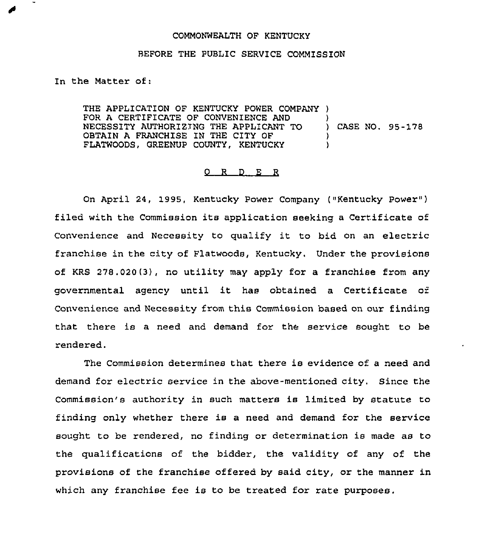## COMMONWEALTH OF KENTUCKY

## BEFORE THE PUBLIC SERVICE COMMISSION

In the Matter of:

 $\overline{\phantom{a}}$ 

THE APPLICATION OF KENTUCKY POWER COMPANY ) FOR A CERTIFICATE OF CONVENIENCE AND NECESSITY AUTHORIZING THE APPLICANT TO ) CASE NO. 95-178 OBTAIN A FRANCHISE IN THE CITY OF  $\left\{\n \begin{array}{ccc}\n \text{2.1} & \text{3.2} \\
\text{5.3} & \text{6.4} \\
\text{6.5} & \text{7.6}\n \end{array}\n \right\}$ FLATWOODS, GREENUP COUNTY, KENTUCKY

## 0 R <sup>D</sup> E R

On April 24, 1995, Kentucky Power Company ("Kentucky Power" ) filed with the Commission its application seeking <sup>a</sup> Certificate of Convenience and Necessity to qualify it to bid on an electric franchise in the city of Flatwoods, Kentucky, Under the provisions of KRS 278,020(3), no utility may apply fox a franchise from any governmental agency until it has obtained <sup>a</sup> Certificate of Convenience and Necessity from this Commission based on our finding that there is a need and demand for the service sought to be rendered.

The Commission determines that there is evidence of <sup>a</sup> need and demand for electric service in the above-mentioned city. Since the Commission's authority in such matters is limited by statute to finding only whether there is a need and demand for the service sought to be rendered, no finding or determination is made as to the qualifications of the bidder, the validity of any of the provisions of the franchise offered by said city, or the manner in which any franchise fee is to be treated for rate purposes.